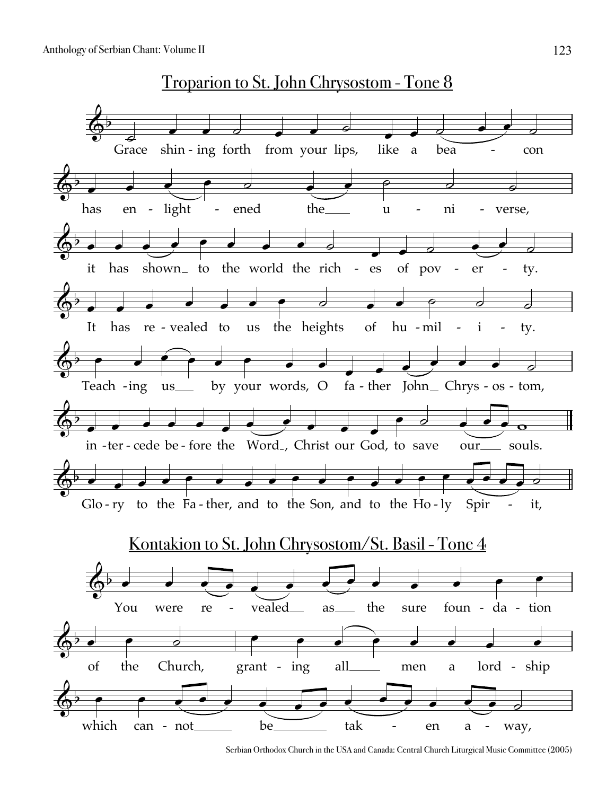Troparion to St. John Chrysostom - Tone 8



Serbian Orthodox Church in the USA and Canada: Central Church Liturgical Music Committee (2005)